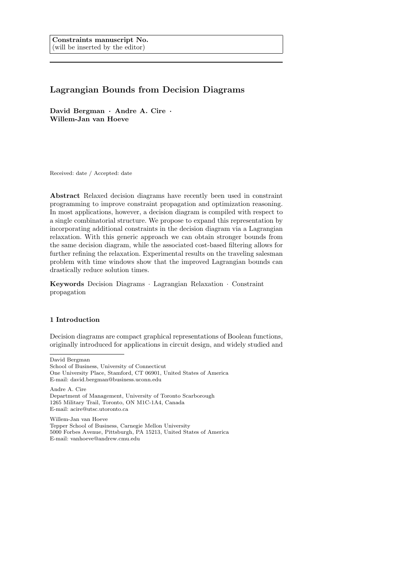# Lagrangian Bounds from Decision Diagrams

David Bergman · Andre A. Cire · Willem-Jan van Hoeve

Received: date / Accepted: date

Abstract Relaxed decision diagrams have recently been used in constraint programming to improve constraint propagation and optimization reasoning. In most applications, however, a decision diagram is compiled with respect to a single combinatorial structure. We propose to expand this representation by incorporating additional constraints in the decision diagram via a Lagrangian relaxation. With this generic approach we can obtain stronger bounds from the same decision diagram, while the associated cost-based filtering allows for further refining the relaxation. Experimental results on the traveling salesman problem with time windows show that the improved Lagrangian bounds can drastically reduce solution times.

Keywords Decision Diagrams · Lagrangian Relaxation · Constraint propagation

## 1 Introduction

Decision diagrams are compact graphical representations of Boolean functions, originally introduced for applications in circuit design, and widely studied and

David Bergman

School of Business, University of Connecticut

Andre A. Cire Department of Management, University of Toronto Scarborough 1265 Military Trail, Toronto, ON M1C-1A4, Canada E-mail: acire@utsc.utoronto.ca

Willem-Jan van Hoeve Tepper School of Business, Carnegie Mellon University 5000 Forbes Avenue, Pittsburgh, PA 15213, United States of America E-mail: vanhoeve@andrew.cmu.edu

One University Place, Stamford, CT 06901, United States of America E-mail: david.bergman@business.uconn.edu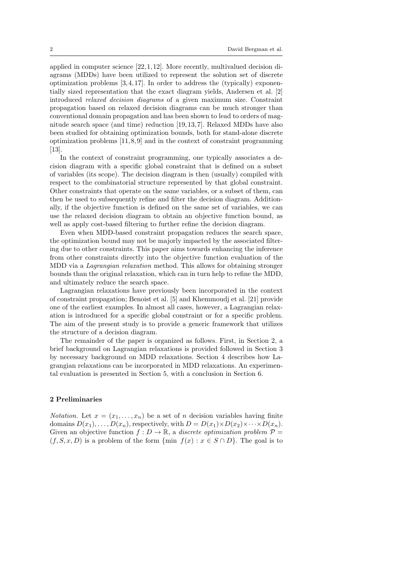applied in computer science  $[22, 1, 12]$ . More recently, multivalued decision diagrams (MDDs) have been utilized to represent the solution set of discrete optimization problems  $[3, 4, 17]$ . In order to address the (typically) exponentially sized representation that the exact diagram yields, Andersen et al. [2] introduced relaxed decision diagrams of a given maximum size. Constraint propagation based on relaxed decision diagrams can be much stronger than conventional domain propagation and has been shown to lead to orders of magnitude search space (and time) reduction [19, 13, 7]. Relaxed MDDs have also been studied for obtaining optimization bounds, both for stand-alone discrete optimization problems  $[11, 8, 9]$  and in the context of constraint programming [13].

In the context of constraint programming, one typically associates a decision diagram with a specific global constraint that is defined on a subset of variables (its scope). The decision diagram is then (usually) compiled with respect to the combinatorial structure represented by that global constraint. Other constraints that operate on the same variables, or a subset of them, can then be used to subsequently refine and filter the decision diagram. Additionally, if the objective function is defined on the same set of variables, we can use the relaxed decision diagram to obtain an objective function bound, as well as apply cost-based filtering to further refine the decision diagram.

Even when MDD-based constraint propagation reduces the search space, the optimization bound may not be majorly impacted by the associated filtering due to other constraints. This paper aims towards enhancing the inference from other constraints directly into the objective function evaluation of the MDD via a Lagrangian relaxation method. This allows for obtaining stronger bounds than the original relaxation, which can in turn help to refine the MDD, and ultimately reduce the search space.

Lagrangian relaxations have previously been incorporated in the context of constraint propagation; Benoist et al. [5] and Khemmoudj et al. [21] provide one of the earliest examples. In almost all cases, however, a Lagrangian relaxation is introduced for a specific global constraint or for a specific problem. The aim of the present study is to provide a generic framework that utilizes the structure of a decision diagram.

The remainder of the paper is organized as follows. First, in Section 2, a brief background on Lagrangian relaxations is provided followed in Section 3 by necessary background on MDD relaxations. Section 4 describes how Lagrangian relaxations can be incorporated in MDD relaxations. An experimental evaluation is presented in Section 5, with a conclusion in Section 6.

## 2 Preliminaries

*Notation.* Let  $x = (x_1, \ldots, x_n)$  be a set of n decision variables having finite domains  $D(x_1), \ldots, D(x_n)$ , respectively, with  $D = D(x_1) \times D(x_2) \times \cdots \times D(x_n)$ . Given an objective function  $f: D \to \mathbb{R}$ , a discrete optimization problem  $\mathcal{P} =$  $(f, S, x, D)$  is a problem of the form  $\{\min f(x) : x \in S \cap D\}$ . The goal is to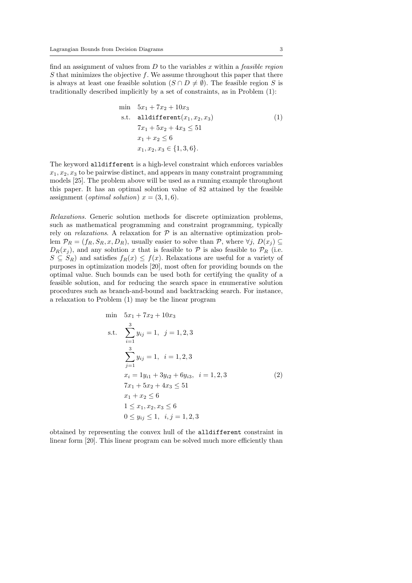find an assignment of values from  $D$  to the variables  $x$  within a *feasible region*  $S$  that minimizes the objective  $f$ . We assume throughout this paper that there is always at least one feasible solution  $(S \cap D \neq \emptyset)$ . The feasible region S is traditionally described implicitly by a set of constraints, as in Problem (1):

min 
$$
5x_1 + 7x_2 + 10x_3
$$
  
s.t. **alldifferent** $(x_1, x_2, x_3)$   
 $7x_1 + 5x_2 + 4x_3 \le 51$   
 $x_1 + x_2 \le 6$   
 $x_1, x_2, x_3 \in \{1, 3, 6\}.$  (1)

The keyword alldifferent is a high-level constraint which enforces variables  $x_1, x_2, x_3$  to be pairwise distinct, and appears in many constraint programming models [25]. The problem above will be used as a running example throughout this paper. It has an optimal solution value of 82 attained by the feasible assignment (*optimal solution*)  $x = (3, 1, 6)$ .

Relaxations. Generic solution methods for discrete optimization problems, such as mathematical programming and constraint programming, typically rely on *relaxations*. A relaxation for  $P$  is an alternative optimization problem  $\mathcal{P}_R = (f_R, S_R, x, D_R)$ , usually easier to solve than  $\mathcal{P}$ , where  $\forall j$ ,  $D(x_j) \subseteq$  $D_R(x_j)$ , and any solution x that is feasible to  $\mathcal{P}$  is also feasible to  $\mathcal{P}_R$  (i.e.  $S \subseteq S_R$ ) and satisfies  $f_R(x) \leq f(x)$ . Relaxations are useful for a variety of purposes in optimization models [20], most often for providing bounds on the optimal value. Such bounds can be used both for certifying the quality of a feasible solution, and for reducing the search space in enumerative solution procedures such as branch-and-bound and backtracking search. For instance, a relaxation to Problem (1) may be the linear program

min 
$$
5x_1 + 7x_2 + 10x_3
$$
  
\ns.t.  $\sum_{i=1}^{3} y_{ij} = 1, j = 1, 2, 3$   
\n $\sum_{j=1}^{3} y_{ij} = 1, i = 1, 2, 3$   
\n $x_i = 1y_{i1} + 3y_{i2} + 6y_{i3}, i = 1, 2, 3$   
\n $7x_1 + 5x_2 + 4x_3 \le 51$   
\n $x_1 + x_2 \le 6$   
\n $1 \le x_1, x_2, x_3 \le 6$   
\n $0 \le y_{ij} \le 1, i, j = 1, 2, 3$ 

obtained by representing the convex hull of the alldifferent constraint in linear form [20]. This linear program can be solved much more efficiently than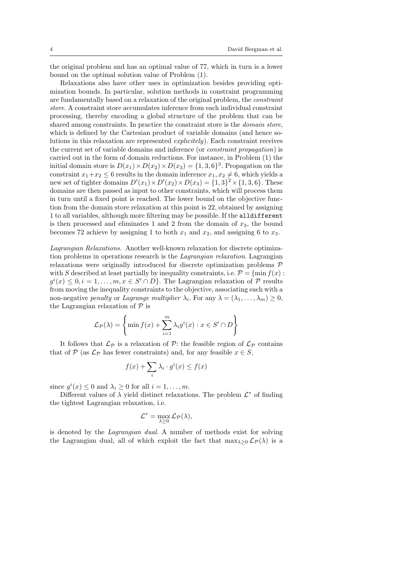the original problem and has an optimal value of 77, which in turn is a lower bound on the optimal solution value of Problem (1).

Relaxations also have other uses in optimization besides providing optimization bounds. In particular, solution methods in constraint programming are fundamentally based on a relaxation of the original problem, the constraint store. A constraint store accumulates inference from each individual constraint processing, thereby encoding a global structure of the problem that can be shared among constraints. In practice the constraint store is the *domain store*, which is defined by the Cartesian product of variable domains (and hence solutions in this relaxation are represented explicitely). Each constraint receives the current set of variable domains and inference (or constraint propagation) is carried out in the form of domain reductions. For instance, in Problem (1) the initial domain store is  $D(x_1) \times D(x_2) \times D(x_3) = \{1, 3, 6\}^3$ . Propagation on the constraint  $x_1+x_2 \leq 6$  results in the domain inference  $x_1, x_2 \neq 6$ , which yields a new set of tighter domains  $D'(x_1) \times D'(x_2) \times D(x_3) = \{1,3\}^2 \times \{1,3,6\}$ . These domains are then passed as input to other constraints, which will process them in turn until a fixed point is reached. The lower bound on the objective function from the domain store relaxation at this point is 22, obtained by assigning 1 to all variables, although more filtering may be possible. If the alldifferent is then processed and eliminates 1 and 2 from the domain of  $x_3$ , the bound becomes 72 achieve by assigning 1 to both  $x_1$  and  $x_2$ , and assigning 6 to  $x_3$ .

Lagrangian Relaxations. Another well-known relaxation for discrete optimization problems in operations research is the Lagrangian relaxation. Lagrangian relaxations were originally introduced for discrete optimization problems P with S described at least partially by inequality constraints, i.e.  $\mathcal{P} = \{\min f(x):$  $g^{i}(x) \leq 0, i = 1, \ldots, m, x \in S' \cap D$ . The Lagrangian relaxation of P results from moving the inequality constraints to the objective, associating each with a non-negative *penalty* or *Lagrange multiplier*  $\lambda_i$ . For any  $\lambda = (\lambda_1, \dots, \lambda_m) \geq 0$ , the Lagrangian relaxation of  $P$  is

$$
\mathcal{L}_{\mathcal{P}}(\lambda) = \left\{ \min f(x) + \sum_{i=1}^{m} \lambda_i g^i(x) : x \in S' \cap D \right\}
$$

It follows that  $\mathcal{L}_{\mathcal{P}}$  is a relaxation of  $\mathcal{P}$ : the feasible region of  $\mathcal{L}_{\mathcal{P}}$  contains that of  $P$  (as  $\mathcal{L}_P$  has fewer constraints) and, for any feasible  $x \in S$ ,

$$
f(x) + \sum_{i} \lambda_i \cdot g^i(x) \le f(x)
$$

since  $g^{i}(x) \leq 0$  and  $\lambda_{i} \geq 0$  for all  $i = 1, ..., m$ .

Different values of  $\lambda$  yield distinct relaxations. The problem  $\mathcal{L}^*$  of finding the tightest Lagrangian relaxation, i.e.

$$
\mathcal{L}^* = \max_{\lambda \geq 0} \mathcal{L}_{\mathcal{P}}(\lambda),
$$

is denoted by the Lagrangian dual. A number of methods exist for solving the Lagrangian dual, all of which exploit the fact that  $\max_{\lambda>0}$  L $\mathcal{L}_{\mathcal{P}}(\lambda)$  is a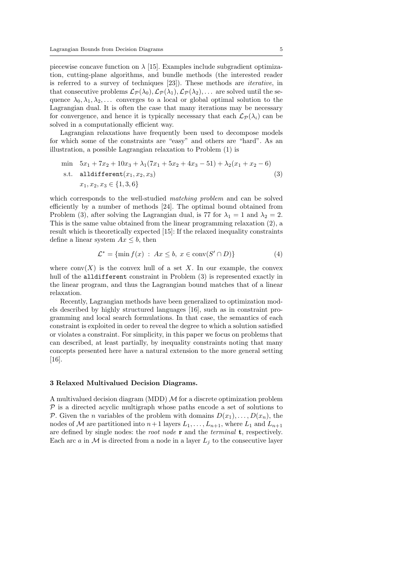piecewise concave function on  $\lambda$  [15]. Examples include subgradient optimization, cutting-plane algorithms, and bundle methods (the interested reader is referred to a survey of techniques [23]). These methods are iterative, in that consecutive problems  $\mathcal{L}_{\mathcal{P}}(\lambda_0), \mathcal{L}_{\mathcal{P}}(\lambda_1), \mathcal{L}_{\mathcal{P}}(\lambda_2), \ldots$  are solved until the sequence  $\lambda_0, \lambda_1, \lambda_2, \ldots$  converges to a local or global optimal solution to the Lagrangian dual. It is often the case that many iterations may be necessary for convergence, and hence it is typically necessary that each  $\mathcal{L}_{\mathcal{P}}(\lambda_i)$  can be solved in a computationally efficient way.

Lagrangian relaxations have frequently been used to decompose models for which some of the constraints are "easy" and others are "hard". As an illustration, a possible Lagrangian relaxation to Problem (1) is

$$
\begin{aligned}\n\min \quad & 5x_1 + 7x_2 + 10x_3 + \lambda_1(7x_1 + 5x_2 + 4x_3 - 51) + \lambda_2(x_1 + x_2 - 6) \\
\text{s.t. } & \text{alldifferent}(x_1, x_2, x_3) \\
& x_1, x_2, x_3 \in \{1, 3, 6\}\n\end{aligned}\n\tag{3}
$$

which corresponds to the well-studied *matching problem* and can be solved efficiently by a number of methods [24]. The optimal bound obtained from Problem (3), after solving the Lagrangian dual, is 77 for  $\lambda_1 = 1$  and  $\lambda_2 = 2$ . This is the same value obtained from the linear programming relaxation (2), a result which is theoretically expected [15]: If the relaxed inequality constraints define a linear system  $Ax \leq b$ , then

$$
\mathcal{L}^* = \{ \min f(x) : Ax \le b, x \in \text{conv}(S' \cap D) \}
$$
 (4)

where  $conv(X)$  is the convex hull of a set X. In our example, the convex hull of the alldifferent constraint in Problem  $(3)$  is represented exactly in the linear program, and thus the Lagrangian bound matches that of a linear relaxation.

Recently, Lagrangian methods have been generalized to optimization models described by highly structured languages [16], such as in constraint programming and local search formulations. In that case, the semantics of each constraint is exploited in order to reveal the degree to which a solution satisfied or violates a constraint. For simplicity, in this paper we focus on problems that can described, at least partially, by inequality constraints noting that many concepts presented here have a natural extension to the more general setting [16].

#### 3 Relaxed Multivalued Decision Diagrams.

A multivalued decision diagram (MDD)  $\mathcal M$  for a discrete optimization problem  $P$  is a directed acyclic multigraph whose paths encode a set of solutions to P. Given the *n* variables of the problem with domains  $D(x_1), \ldots, D(x_n)$ , the nodes of M are partitioned into  $n+1$  layers  $L_1, \ldots, L_{n+1}$ , where  $L_1$  and  $L_{n+1}$ are defined by single nodes: the *root node*  $\bf{r}$  and the *terminal*  $\bf{t}$ , respectively. Each arc a in  $\mathcal M$  is directed from a node in a layer  $L_i$  to the consecutive layer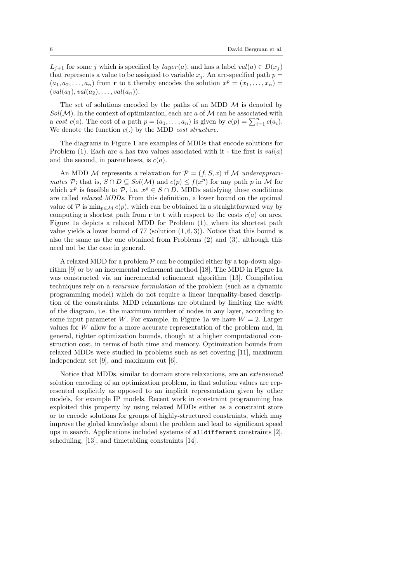$L_{j+1}$  for some j which is specified by  $layer(a)$ , and has a label  $val(a) \in D(x_j)$ that represents a value to be assigned to variable  $x_i$ . An arc-specified path  $p =$  $(a_1, a_2, \ldots, a_n)$  from **r** to **t** thereby encodes the solution  $x^p = (x_1, \ldots, x_n)$  $(val(a_1), val(a_2), \ldots, val(a_n)).$ 

The set of solutions encoded by the paths of an MDD  $\mathcal M$  is denoted by  $Sol(\mathcal{M})$ . In the context of optimization, each arc a of  $\mathcal M$  can be associated with a cost  $c(a)$ . The cost of a path  $p = (a_1, \ldots, a_n)$  is given by  $c(p) = \sum_{i=1}^n c(a_i)$ . We denote the function  $c(.)$  by the MDD cost structure.

The diagrams in Figure 1 are examples of MDDs that encode solutions for Problem (1). Each arc a has two values associated with it - the first is  $val(a)$ and the second, in parentheses, is  $c(a)$ .

An MDD M represents a relaxation for  $P = (f, S, x)$  if M underapproximates P; that is,  $S \cap D \subseteq Sol(\mathcal{M})$  and  $c(p) \leq f(x^p)$  for any path p in M for which  $x^p$  is feasible to P, i.e.  $x^p \in S \cap D$ . MDDs satisfying these conditions are called relaxed MDDs. From this definition, a lower bound on the optimal value of P is  $\min_{p \in \mathcal{M}} c(p)$ , which can be obtained in a straightforward way by computing a shortest path from  $\bf{r}$  to  $\bf{t}$  with respect to the costs  $c(a)$  on arcs. Figure 1a depicts a relaxed MDD for Problem (1), where its shortest path value yields a lower bound of  $77$  (solution  $(1, 6, 3)$ ). Notice that this bound is also the same as the one obtained from Problems (2) and (3), although this need not be the case in general.

A relaxed MDD for a problem  $P$  can be compiled either by a top-down algorithm [9] or by an incremental refinement method [18]. The MDD in Figure 1a was constructed via an incremental refinement algorithm [13]. Compilation techniques rely on a recursive formulation of the problem (such as a dynamic programming model) which do not require a linear inequality-based description of the constraints. MDD relaxations are obtained by limiting the width of the diagram, i.e. the maximum number of nodes in any layer, according to some input parameter W. For example, in Figure 1a we have  $W = 2$ . Larger values for W allow for a more accurate representation of the problem and, in general, tighter optimization bounds, though at a higher computational construction cost, in terms of both time and memory. Optimization bounds from relaxed MDDs were studied in problems such as set covering [11], maximum independent set [9], and maximum cut [6].

Notice that MDDs, similar to domain store relaxations, are an extensional solution encoding of an optimization problem, in that solution values are represented explicitly as opposed to an implicit representation given by other models, for example IP models. Recent work in constraint programming has exploited this property by using relaxed MDDs either as a constraint store or to encode solutions for groups of highly-structured constraints, which may improve the global knowledge about the problem and lead to significant speed ups in search. Applications included systems of alldifferent constraints [2], scheduling, [13], and timetabling constraints [14].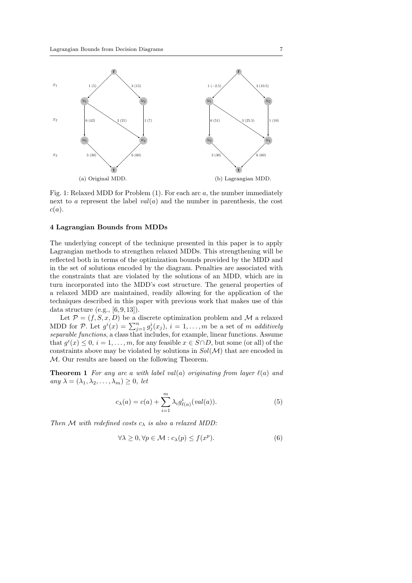

Fig. 1: Relaxed MDD for Problem  $(1)$ . For each arc  $a$ , the number immediately next to a represent the label  $val(a)$  and the number in parenthesis, the cost  $c(a)$ .

#### 4 Lagrangian Bounds from MDDs

The underlying concept of the technique presented in this paper is to apply Lagrangian methods to strengthen relaxed MDDs. This strengthening will be reflected both in terms of the optimization bounds provided by the MDD and in the set of solutions encoded by the diagram. Penalties are associated with the constraints that are violated by the solutions of an MDD, which are in turn incorporated into the MDD's cost structure. The general properties of a relaxed MDD are maintained, readily allowing for the application of the techniques described in this paper with previous work that makes use of this data structure (e.g.,  $[6, 9, 13]$ ).

Let  $\mathcal{P} = (f, S, x, D)$  be a discrete optimization problem and M a relaxed MDD for P. Let  $g^i(x) = \sum_{j=1}^n g^i_j(x_j)$ ,  $i = 1, ..., m$  be a set of m additively separable functions, a class that includes, for example, linear functions. Assume that  $g^{i}(x) \leq 0, i = 1, ..., m$ , for any feasible  $x \in S \cap D$ , but some (or all) of the constraints above may be violated by solutions in  $Sol(\mathcal{M})$  that are encoded in M. Our results are based on the following Theorem.

**Theorem 1** For any arc a with label val(a) originating from layer  $\ell(a)$  and any  $\lambda = (\lambda_1, \lambda_2, \dots, \lambda_m) \geq 0$ , let

$$
c_{\lambda}(a) = c(a) + \sum_{i=1}^{m} \lambda_i g_{\ell(a)}^i (val(a)).
$$
\n
$$
(5)
$$

Then M with redefined costs  $c_{\lambda}$  is also a relaxed MDD:

$$
\forall \lambda \ge 0, \forall p \in \mathcal{M} : c_{\lambda}(p) \le f(x^p). \tag{6}
$$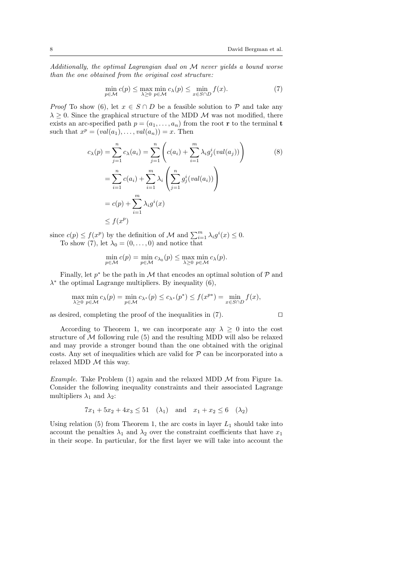Additionally, the optimal Lagrangian dual on M never yields a bound worse than the one obtained from the original cost structure:

$$
\min_{p \in \mathcal{M}} c(p) \le \max_{\lambda \ge 0} \min_{p \in \mathcal{M}} c_{\lambda}(p) \le \min_{x \in S \cap D} f(x). \tag{7}
$$

*Proof* To show (6), let  $x \in S \cap D$  be a feasible solution to P and take any  $\lambda \geq 0$ . Since the graphical structure of the MDD M was not modified, there exists an arc-specified path  $p = (a_1, \ldots, a_n)$  from the root **r** to the terminal **t** such that  $x^p = (val(a_1), \ldots, val(a_n)) = x$ . Then

$$
c_{\lambda}(p) = \sum_{j=1}^{n} c_{\lambda}(a_i) = \sum_{j=1}^{n} \left( c(a_i) + \sum_{i=1}^{m} \lambda_i g_j^i (val(a_j)) \right)
$$
  
\n
$$
= \sum_{i=1}^{n} c(a_i) + \sum_{i=1}^{m} \lambda_i \left( \sum_{j=1}^{n} g_j^i (val(a_i)) \right)
$$
  
\n
$$
= c(p) + \sum_{i=1}^{m} \lambda_i g^i(x)
$$
  
\n
$$
\leq f(x^p)
$$
 (8)

since  $c(p) \le f(x^p)$  by the definition of M and  $\sum_{i=1}^m \lambda_i g^i(x) \le 0$ . To show (7), let  $\lambda_0 = (0, \ldots, 0)$  and notice that

now (7), let 
$$
\lambda_0 = (0, \ldots, 0)
$$
 and notice that

$$
\min_{p \in \mathcal{M}} c(p) = \min_{p \in \mathcal{M}} c_{\lambda_0}(p) \le \max_{\lambda \ge 0} \min_{p \in \mathcal{M}} c_{\lambda}(p).
$$

Finally, let  $p^*$  be the path in M that encodes an optimal solution of P and  $\lambda^*$  the optimal Lagrange multipliers. By inequality (6),

$$
\max_{\lambda \geq 0} \min_{p \in \mathcal{M}} c_{\lambda}(p) = \min_{p \in \mathcal{M}} c_{\lambda^*}(p) \leq c_{\lambda^*}(p^*) \leq f(x^{p^*}) = \min_{x \in S \cap D} f(x),
$$

as desired, completing the proof of the inequalities in  $(7)$ .

According to Theorem 1, we can incorporate any  $\lambda \geq 0$  into the cost structure of  $M$  following rule (5) and the resulting MDD will also be relaxed and may provide a stronger bound than the one obtained with the original costs. Any set of inequalities which are valid for  $P$  can be incorporated into a relaxed MDD  $M$  this way.

Example. Take Problem  $(1)$  again and the relaxed MDD  $\mathcal M$  from Figure 1a. Consider the following inequality constraints and their associated Lagrange multipliers  $\lambda_1$  and  $\lambda_2$ :

$$
7x_1 + 5x_2 + 4x_3 \le 51
$$
 ( $\lambda_1$ ) and  $x_1 + x_2 \le 6$  ( $\lambda_2$ )

Using relation (5) from Theorem 1, the arc costs in layer  $L_1$  should take into account the penalties  $\lambda_1$  and  $\lambda_2$  over the constraint coefficients that have  $x_1$ in their scope. In particular, for the first layer we will take into account the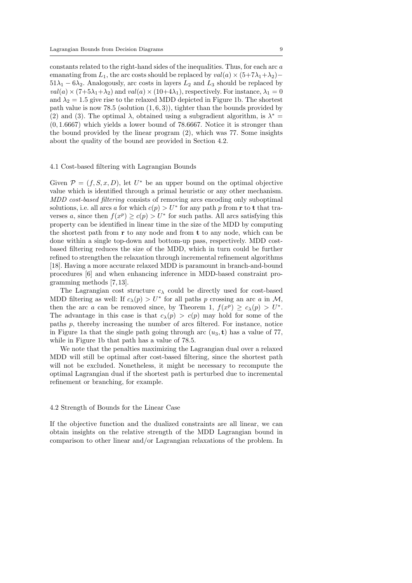constants related to the right-hand sides of the inequalities. Thus, for each arc a emanating from  $L_1$ , the arc costs should be replaced by  $val(a) \times (5+7\lambda_1+\lambda_2)$ −  $51\lambda_1 - 6\lambda_2$ . Analogously, arc costs in layers  $L_2$  and  $L_3$  should be replaced by  $val(a) \times (7+5\lambda_1+\lambda_2)$  and  $val(a) \times (10+4\lambda_1)$ , respectively. For instance,  $\lambda_1 = 0$ and  $\lambda_2 = 1.5$  give rise to the relaxed MDD depicted in Figure 1b. The shortest path value is now 78.5 (solution  $(1, 6, 3)$ ), tighter than the bounds provided by (2) and (3). The optimal  $\lambda$ , obtained using a subgradient algorithm, is  $\lambda^* =$  $(0, 1.6667)$  which yields a lower bound of 78.6667. Notice it is stronger than the bound provided by the linear program (2), which was 77. Some insights about the quality of the bound are provided in Section 4.2.

#### 4.1 Cost-based filtering with Lagrangian Bounds

Given  $\mathcal{P} = (f, S, x, D)$ , let  $U^*$  be an upper bound on the optimal objective value which is identified through a primal heuristic or any other mechanism. MDD cost-based filtering consists of removing arcs encoding only suboptimal solutions, i.e. all arcs a for which  $c(p) > U^*$  for any path p from **r** to **t** that traverses a, since then  $f(x^p) \ge c(p) > U^*$  for such paths. All arcs satisfying this property can be identified in linear time in the size of the MDD by computing the shortest path from  $\bf{r}$  to any node and from  $\bf{t}$  to any node, which can be done within a single top-down and bottom-up pass, respectively. MDD costbased filtering reduces the size of the MDD, which in turn could be further refined to strengthen the relaxation through incremental refinement algorithms [18]. Having a more accurate relaxed MDD is paramount in branch-and-bound procedures [6] and when enhancing inference in MDD-based constraint programming methods [7, 13].

The Lagrangian cost structure  $c_{\lambda}$  could be directly used for cost-based MDD filtering as well: If  $c_{\lambda}(p) > U^*$  for all paths p crossing an arc a in M, then the arc a can be removed since, by Theorem 1,  $f(x^p) \ge c_\lambda(p) > U^*$ . The advantage in this case is that  $c_{\lambda}(p) > c(p)$  may hold for some of the paths p, thereby increasing the number of arcs filtered. For instance, notice in Figure 1a that the single path going through arc  $(u_3, t)$  has a value of 77, while in Figure 1b that path has a value of 78.5.

We note that the penalties maximizing the Lagrangian dual over a relaxed MDD will still be optimal after cost-based filtering, since the shortest path will not be excluded. Nonetheless, it might be necessary to recompute the optimal Lagrangian dual if the shortest path is perturbed due to incremental refinement or branching, for example.

#### 4.2 Strength of Bounds for the Linear Case

If the objective function and the dualized constraints are all linear, we can obtain insights on the relative strength of the MDD Lagrangian bound in comparison to other linear and/or Lagrangian relaxations of the problem. In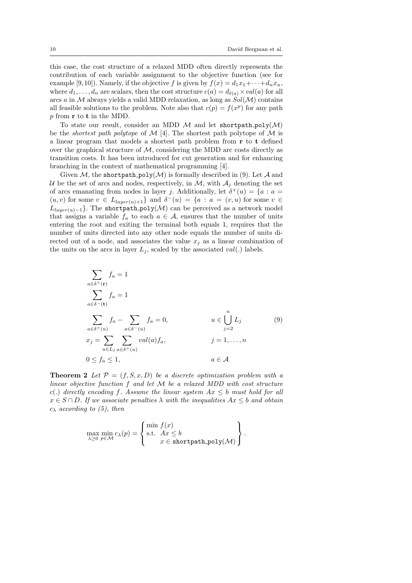this case, the cost structure of a relaxed MDD often directly represents the contribution of each variable assignment to the objective function (see for example [9, 10]). Namely, if the objective f is given by  $f(x) = d_1x_1 + \cdots + d_nx_n$ , where  $d_1, \ldots, d_n$  are scalars, then the cost structure  $c(a) = d_{\ell(a)} \times val(a)$  for all arcs a in M always yields a valid MDD relaxation, as long as  $Sol(M)$  contains all feasible solutions to the problem. Note also that  $c(p) = f(x^p)$  for any path  $p$  from  $r$  to  $t$  in the MDD.

To state our result, consider an MDD  $\mathcal M$  and let shortpath poly $(\mathcal M)$ be the *shortest path polytope* of  $M$  [4]. The shortest path polytope of  $M$  is a linear program that models a shortest path problem from r to t defined over the graphical structure of  $\mathcal{M}$ , considering the MDD arc costs directly as transition costs. It has been introduced for cut generation and for enhancing branching in the context of mathematical programming [4].

Given M, the shortpath poly $(M)$  is formally described in (9). Let A and U be the set of arcs and nodes, respectively, in  $\mathcal{M}$ , with  $\mathcal{A}_i$  denoting the set of arcs emanating from nodes in layer j. Additionally, let  $\delta^+(u) = \{a : a =$  $(u, v)$  for some  $v \in L_{layer(u)+1}$  and  $\delta^-(u) = \{a : a = (v, u) \text{ for some } v \in L_{layer(u)+1}\}$  $L_{layer(u)-1}$ . The shortpath poly(M) can be perceived as a network model that assigns a variable  $f_a$  to each  $a \in \mathcal{A}$ , ensures that the number of units entering the root and exiting the terminal both equals 1, requires that the number of units directed into any other node equals the number of units directed out of a node, and associates the value  $x_i$  as a linear combination of the units on the arcs in layer  $L_j$ , scaled by the associated val(.) labels.

$$
\sum_{a \in \delta^{+}(\mathbf{r})} f_a = 1
$$
\n
$$
\sum_{a \in \delta^{-}(\mathbf{t})} f_a = 1
$$
\n
$$
\sum_{a \in \delta^{+}(u)} f_a - \sum_{a \in \delta^{-}(u)} f_a = 0, \qquad u \in \bigcup_{j=2}^{n} L_j
$$
\n
$$
x_j = \sum_{u \in L_j} \sum_{a \in \delta^{+}(u)} val(a) f_a, \qquad j = 1, ..., n
$$
\n
$$
0 \le f_a \le 1, \qquad a \in \mathcal{A}
$$
\n(9)

**Theorem 2** Let  $P = (f, S, x, D)$  be a discrete optimization problem with a linear objective function  $f$  and let  $M$  be a relaxed MDD with cost structure c(.) directly encoding f. Assume the linear system  $Ax \leq b$  must hold for all  $x \in S \cap D$ . If we associate penalties  $\lambda$  with the inequalities  $Ax \leq b$  and obtain  $c_{\lambda}$  according to (5), then

$$
\max_{\lambda \geq 0} \min_{p \in \mathcal{M}} c_{\lambda}(p) = \left\{ \begin{aligned} & \min_{x} f(x) \\ & \text{s.t.} & x \leq b \\ & x \in \text{shortpath\_poly}(\mathcal{M}) \end{aligned} \right\}.
$$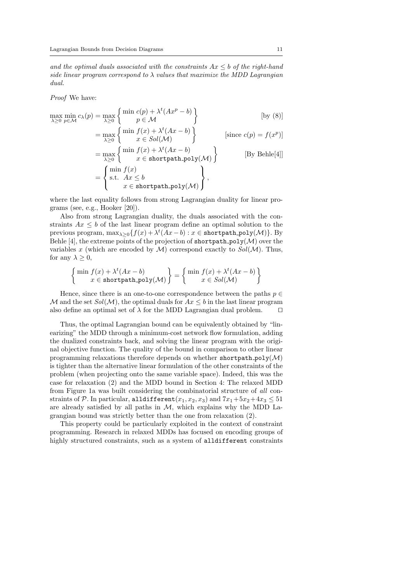and the optimal duals associated with the constraints  $Ax \leq b$  of the right-hand side linear program correspond to  $\lambda$  values that maximize the MDD Lagrangian dual.

Proof We have:

$$
\max_{\lambda \geq 0} \min_{p \in \mathcal{M}} c_{\lambda}(p) = \max_{\lambda \geq 0} \left\{ \begin{array}{c} \min_{p \in \mathcal{M}} c(p) + \lambda^{t}(Ax^{p} - b) \\ p \in \mathcal{M} \end{array} \right\} \qquad \text{[by (8)]}
$$
\n
$$
= \max_{\lambda \geq 0} \left\{ \begin{array}{c} \min_{p \in \mathcal{M}} f(x) + \lambda^{t}(Ax - b) \\ x \in Sol(\mathcal{M}) \end{array} \right\} \qquad \text{[since } c(p) = f(x^{p})]
$$
\n
$$
= \max_{\lambda \geq 0} \left\{ \begin{array}{c} \min_{p \in \mathcal{M}} f(x) + \lambda^{t}(Ax - b) \\ x \in \text{shortpath\_poly}(\mathcal{M}) \end{array} \right\} \qquad \text{[By Behle[4]]}
$$
\n
$$
= \left\{ \begin{array}{c} \min_{p \in \mathcal{M}} f(x) \\ \text{s.t. } Ax \leq b \\ x \in \text{shortpath\_poly}(\mathcal{M}) \end{array} \right\},
$$

where the last equality follows from strong Lagrangian duality for linear programs (see, e.g., Hooker [20]).

Also from strong Lagrangian duality, the duals associated with the constraints  $Ax \leq b$  of the last linear program define an optimal solution to the previous program,  $\max_{\lambda \geq 0} \{f(x) + \lambda^t (Ax - b) : x \in \text{shortpath\_poly}(\mathcal{M})\}$ . By Behle [4], the extreme points of the projection of shortpath poly $(\mathcal{M})$  over the variables x (which are encoded by  $\mathcal{M}$ ) correspond exactly to  $Sol(\mathcal{M})$ . Thus, for any  $\lambda \geq 0$ ,

$$
\left\{\begin{matrix} \min f(x)+\lambda^t(Ax-b) \\ x \in \mathsf{shortpath\_poly}(\mathcal{M}) \end{matrix}\right\} = \left\{\begin{matrix} \min f(x)+\lambda^t(Ax-b) \\ x \in Sol(\mathcal{M}) \end{matrix}\right\}
$$

Hence, since there is an one-to-one correspondence between the paths  $p \in \mathbb{R}$ M and the set  $Sol(M)$ , the optimal duals for  $Ax \leq b$  in the last linear program also define an optimal set of  $\lambda$  for the MDD Lagrangian dual problem.  $\Box$ 

Thus, the optimal Lagrangian bound can be equivalently obtained by "linearizing" the MDD through a minimum-cost network flow formulation, adding the dualized constraints back, and solving the linear program with the original objective function. The quality of the bound in comparison to other linear programming relaxations therefore depends on whether shortpath poly $(\mathcal{M})$ is tighter than the alternative linear formulation of the other constraints of the problem (when projecting onto the same variable space). Indeed, this was the case for relaxation (2) and the MDD bound in Section 4: The relaxed MDD from Figure 1a was built considering the combinatorial structure of all constraints of P. In particular, all different $(x_1, x_2, x_3)$  and  $7x_1+5x_2+4x_3 \leq 51$ are already satisfied by all paths in  $M$ , which explains why the MDD Lagrangian bound was strictly better than the one from relaxation (2).

This property could be particularly exploited in the context of constraint programming. Research in relaxed MDDs has focused on encoding groups of highly structured constraints, such as a system of alldifferent constraints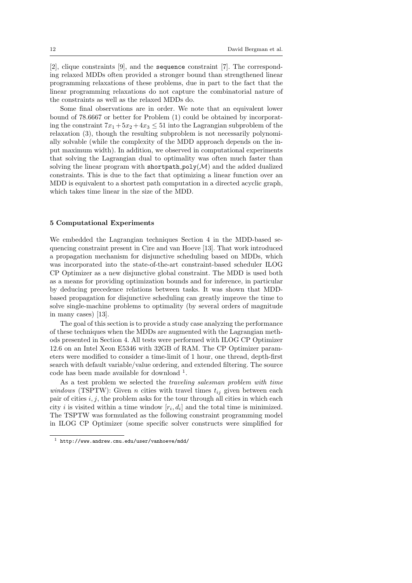[2], clique constraints [9], and the sequence constraint [7]. The corresponding relaxed MDDs often provided a stronger bound than strengthened linear programming relaxations of these problems, due in part to the fact that the linear programming relaxations do not capture the combinatorial nature of the constraints as well as the relaxed MDDs do.

Some final observations are in order. We note that an equivalent lower bound of 78.6667 or better for Problem (1) could be obtained by incorporating the constraint  $7x_1 + 5x_2 + 4x_3 \le 51$  into the Lagrangian subproblem of the relaxation (3), though the resulting subproblem is not necessarily polynomially solvable (while the complexity of the MDD approach depends on the input maximum width). In addition, we observed in computational experiments that solving the Lagrangian dual to optimality was often much faster than solving the linear program with shortpath poly $(\mathcal{M})$  and the added dualized constraints. This is due to the fact that optimizing a linear function over an MDD is equivalent to a shortest path computation in a directed acyclic graph, which takes time linear in the size of the MDD.

# 5 Computational Experiments

We embedded the Lagrangian techniques Section 4 in the MDD-based sequencing constraint present in Cire and van Hoeve [13]. That work introduced a propagation mechanism for disjunctive scheduling based on MDDs, which was incorporated into the state-of-the-art constraint-based scheduler ILOG CP Optimizer as a new disjunctive global constraint. The MDD is used both as a means for providing optimization bounds and for inference, in particular by deducing precedence relations between tasks. It was shown that MDDbased propagation for disjunctive scheduling can greatly improve the time to solve single-machine problems to optimality (by several orders of magnitude in many cases) [13].

The goal of this section is to provide a study case analyzing the performance of these techniques when the MDDs are augmented with the Lagrangian methods presented in Section 4. All tests were performed with ILOG CP Optimizer 12.6 on an Intel Xeon E5346 with 32GB of RAM. The CP Optimizer parameters were modified to consider a time-limit of 1 hour, one thread, depth-first search with default variable/value ordering, and extended filtering. The source code has been made available for download <sup>1</sup> .

As a test problem we selected the traveling salesman problem with time windows (TSPTW): Given n cities with travel times  $t_{ij}$  given between each pair of cities  $i, j$ , the problem asks for the tour through all cities in which each city *i* is visited within a time window  $[r_i, d_i]$  and the total time is minimized. The TSPTW was formulated as the following constraint programming model in ILOG CP Optimizer (some specific solver constructs were simplified for

 $1$  http://www.andrew.cmu.edu/user/vanhoeve/mdd/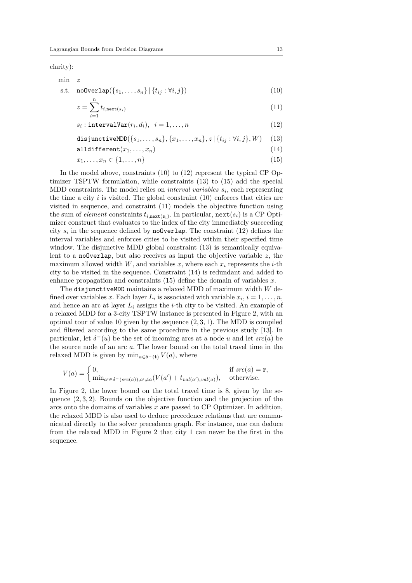clarity):

$$
\min \quad z
$$

$$
\text{s.t. } \text{noOverlap}(\{s_1, \ldots, s_n\} \mid \{t_{ij} : \forall i, j\}) \tag{10}
$$

$$
z = \sum_{i=1}^{n} t_{i, \text{next}(s_i)} \tag{11}
$$

$$
s_i: \text{intervalVar}(r_i, d_i), \quad i = 1, \dots, n \tag{12}
$$

$$
\mathtt{disjunctiveMDD}(\{s_1,\ldots,s_n\},\{x_1,\ldots,x_n\},z\,|\,\{t_{ij}:\forall i,j\},W) \quad \, (13)
$$

$$
\mathtt{alldifferent}(x_1, \ldots, x_n) \tag{14}
$$

$$
x_1, \ldots, x_n \in \{1, \ldots, n\} \tag{15}
$$

In the model above, constraints (10) to (12) represent the typical CP Optimizer TSPTW formulation, while constraints (13) to (15) add the special MDD constraints. The model relies on *interval variables*  $s_i$ , each representing the time a city  $i$  is visited. The global constraint  $(10)$  enforces that cities are visited in sequence, and constraint (11) models the objective function using the sum of *element* constraints  $t_{i,\texttt{next}(s_i)}$ . In particular,  $\texttt{next}(s_i)$  is a CP Optimizer construct that evaluates to the index of the city immediately succeeding city  $s_i$  in the sequence defined by noOverlap. The constraint (12) defines the interval variables and enforces cities to be visited within their specified time window. The disjunctive MDD global constraint  $(13)$  is semantically equivalent to a noOverlap, but also receives as input the objective variable  $z$ , the maximum allowed width W, and variables x, where each  $x_i$  represents the *i*-th city to be visited in the sequence. Constraint (14) is redundant and added to enhance propagation and constraints  $(15)$  define the domain of variables x.

The disjunctive MDD maintains a relaxed MDD of maximum width  $W$  defined over variables x. Each layer  $L_i$  is associated with variable  $x_i$ ,  $i = 1, \ldots, n$ , and hence an arc at layer  $L_i$  assigns the *i*-th city to be visited. An example of a relaxed MDD for a 3-city TSPTW instance is presented in Figure 2, with an optimal tour of value 10 given by the sequence  $(2, 3, 1)$ . The MDD is compiled and filtered according to the same procedure in the previous study [13]. In particular, let  $\delta^-(u)$  be the set of incoming arcs at a node u and let  $src(a)$  be the source node of an arc a. The lower bound on the total travel time in the relaxed MDD is given by  $\min_{a \in \delta^{-}(t)} V(a)$ , where

$$
V(a) = \begin{cases} 0, & \text{if } src(a) = \mathbf{r}, \\ \min_{a' \in \delta^-(src(a)), a' \neq a} (V(a') + t_{val(a'),val(a)}), & \text{otherwise.} \end{cases}
$$

In Figure 2, the lower bound on the total travel time is 8, given by the sequence  $(2, 3, 2)$ . Bounds on the objective function and the projection of the arcs onto the domains of variables  $x$  are passed to CP Optimizer. In addition, the relaxed MDD is also used to deduce precedence relations that are communicated directly to the solver precedence graph. For instance, one can deduce from the relaxed MDD in Figure 2 that city 1 can never be the first in the sequence.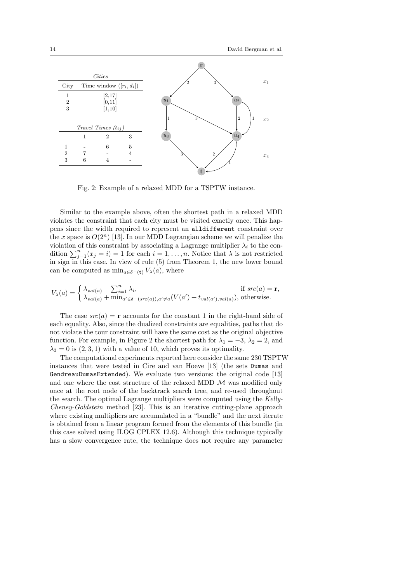

Fig. 2: Example of a relaxed MDD for a TSPTW instance.

Similar to the example above, often the shortest path in a relaxed MDD violates the constraint that each city must be visited exactly once. This happens since the width required to represent an alldifferent constraint over the x space is  $O(2^n)$  [13]. In our MDD Lagrangian scheme we will penalize the violation of this constraint by associating a Lagrange multiplier  $\lambda_i$  to the condition  $\sum_{j=1}^{n}(x_j = i) = 1$  for each  $i = 1, \ldots, n$ . Notice that  $\lambda$  is not restricted in sign in this case. In view of rule (5) from Theorem 1, the new lower bound can be computed as  $\min_{a \in \delta^{-}(\mathbf{t})} V_{\lambda}(a)$ , where

$$
V_{\lambda}(a) = \begin{cases} \lambda_{val(a)} - \sum_{i=1}^{n} \lambda_i, & \text{if } src(a) = \mathbf{r}, \\ \lambda_{val(a)} + \min_{a' \in \delta^{-}(src(a)), a' \neq a} (V(a') + t_{val(a'),val(a)}), & \text{otherwise.} \end{cases}
$$

The case  $src(a) = \mathbf{r}$  accounts for the constant 1 in the right-hand side of each equality. Also, since the dualized constraints are equalities, paths that do not violate the tour constraint will have the same cost as the original objective function. For example, in Figure 2 the shortest path for  $\lambda_1 = -3$ ,  $\lambda_2 = 2$ , and  $\lambda_3 = 0$  is  $(2, 3, 1)$  with a value of 10, which proves its optimality.

The computational experiments reported here consider the same 230 TSPTW instances that were tested in Cire and van Hoeve [13] (the sets Dumas and GendreauDumasExtended). We evaluate two versions: the original code [13] and one where the cost structure of the relaxed MDD  $\mathcal M$  was modified only once at the root node of the backtrack search tree, and re-used throughout the search. The optimal Lagrange multipliers were computed using the Kelly-Cheney-Goldstein method [23]. This is an iterative cutting-plane approach where existing multipliers are accumulated in a "bundle" and the next iterate is obtained from a linear program formed from the elements of this bundle (in this case solved using ILOG CPLEX 12.6). Although this technique typically has a slow convergence rate, the technique does not require any parameter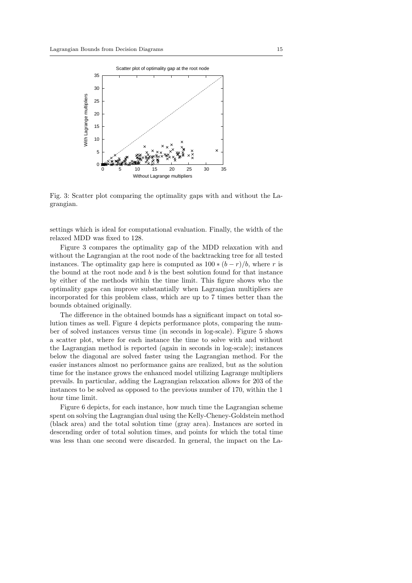

Fig. 3: Scatter plot comparing the optimality gaps with and without the Lagrangian.

settings which is ideal for computational evaluation. Finally, the width of the relaxed MDD was fixed to 128.

Figure 3 compares the optimality gap of the MDD relaxation with and without the Lagrangian at the root node of the backtracking tree for all tested instances. The optimality gap here is computed as  $100 * (b - r)/b$ , where r is the bound at the root node and  $b$  is the best solution found for that instance by either of the methods within the time limit. This figure shows who the optimality gaps can improve substantially when Lagrangian multipliers are incorporated for this problem class, which are up to 7 times better than the bounds obtained originally.

The difference in the obtained bounds has a significant impact on total solution times as well. Figure 4 depicts performance plots, comparing the number of solved instances versus time (in seconds in log-scale). Figure 5 shows a scatter plot, where for each instance the time to solve with and without the Lagrangian method is reported (again in seconds in log-scale); instances below the diagonal are solved faster using the Lagrangian method. For the easier instances almost no performance gains are realized, but as the solution time for the instance grows the enhanced model utilizing Lagrange multipliers prevails. In particular, adding the Lagrangian relaxation allows for 203 of the instances to be solved as opposed to the previous number of 170, within the 1 hour time limit.

Figure 6 depicts, for each instance, how much time the Lagrangian scheme spent on solving the Lagrangian dual using the Kelly-Cheney-Goldstein method (black area) and the total solution time (gray area). Instances are sorted in descending order of total solution times, and points for which the total time was less than one second were discarded. In general, the impact on the La-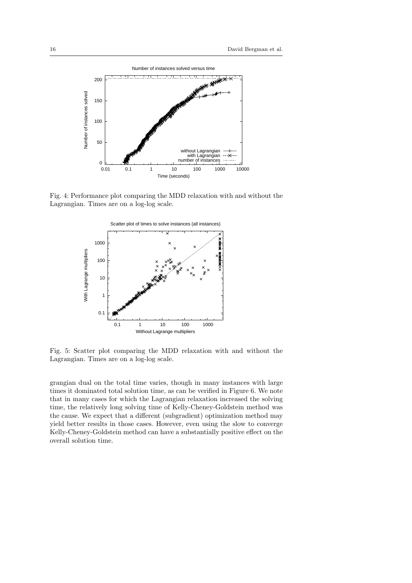

Fig. 4: Performance plot comparing the MDD relaxation with and without the Lagrangian. Times are on a log-log scale.



Fig. 5: Scatter plot comparing the MDD relaxation with and without the Lagrangian. Times are on a log-log scale.

grangian dual on the total time varies, though in many instances with large times it dominated total solution time, as can be verified in Figure 6. We note that in many cases for which the Lagrangian relaxation increased the solving time, the relatively long solving time of Kelly-Cheney-Goldstein method was the cause. We expect that a different (subgradient) optimization method may yield better results in those cases. However, even using the slow to converge Kelly-Cheney-Goldstein method can have a substantially positive effect on the overall solution time.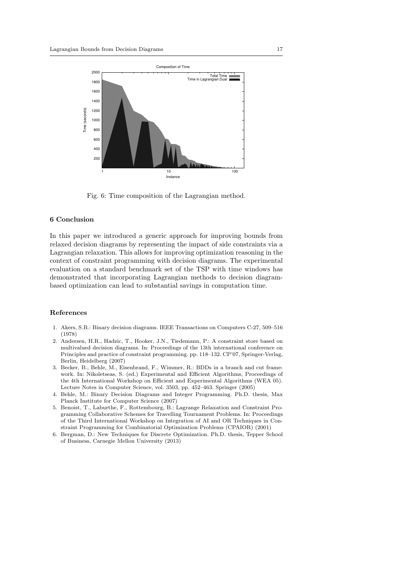

Fig. 6: Time composition of the Lagrangian method.

## 6 Conclusion

In this paper we introduced a generic approach for improving bounds from relaxed decision diagrams by representing the impact of side constraints via a Lagrangian relaxation. This allows for improving optimization reasoning in the context of constraint programming with decision diagrams. The experimental evaluation on a standard benchmark set of the TSP with time windows has demonstrated that incorporating Lagrangian methods to decision diagrambased optimization can lead to substantial savings in computation time.

#### References

- 1. Akers, S.B.: Binary decision diagrams. IEEE Transactions on Computers C-27, 509–516 (1978)
- 2. Andersen, H.R., Hadzic, T., Hooker, J.N., Tiedemann, P.: A constraint store based on multivalued decision diagrams. In: Proceedings of the 13th international conference on Principles and practice of constraint programming. pp. 118–132. CP'07, Springer-Verlag, Berlin, Heidelberg (2007)
- 3. Becker, B., Behle, M., Eisenbrand, F., Wimmer, R.: BDDs in a branch and cut framework. In: Nikoletseas, S. (ed.) Experimental and Efficient Algorithms, Proceedings of the 4th International Workshop on Efficient and Experimental Algorithms (WEA 05). Lecture Notes in Computer Science, vol. 3503, pp. 452–463. Springer (2005)
- 4. Behle, M.: Binary Decision Diagrams and Integer Programming. Ph.D. thesis, Max Planck Institute for Computer Science (2007)
- 5. Benoist, T., Laburthe, F., Rottembourg, B.: Lagrange Relaxation and Constraint Programming Collaborative Schemes for Travelling Tournament Problems. In: Proceedings of the Third International Workshop on Integration of AI and OR Techniques in Constraint Programming for Combinatorial Optimization Problems (CPAIOR) (2001)
- 6. Bergman, D.: New Techniques for Discrete Optimization. Ph.D. thesis, Tepper School of Business, Carnegie Mellon University (2013)